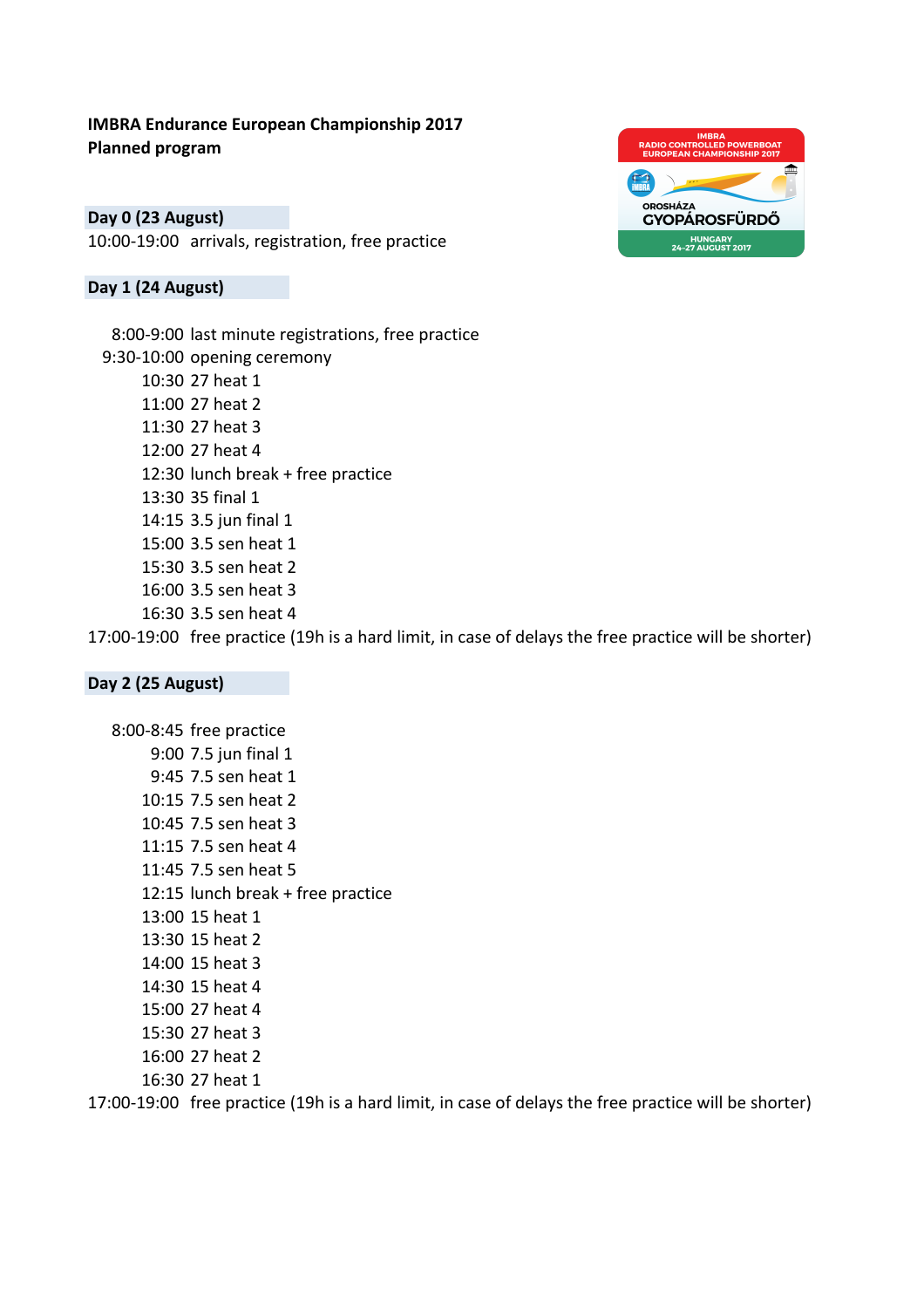## **IMBRA Endurance European Championship 2017 Planned program**

**Day 0 (23 August)** 10:00-19:00 arrivals, registration, free practice

## **Day 1 (24 August)**



8:00-9:00 last minute registrations, free practice 9:30-10:00 opening ceremony 10:30 27 heat 1 11:00 27 heat 2 11:30 27 heat 3 12:00 27 heat 4 12:30 lunch break  $+$  free practice 13:30 35 final 1 14:15 3.5 jun final 1 15:00 3.5 sen heat 1 15:30 3.5 sen heat 2 16:00 3.5 sen heat 3 16:30 3.5 sen heat 4

17:00-19:00 free practice (19h is a hard limit, in case of delays the free practice will be shorter)

#### **Day 2 (25 August)**

8:00-8:45 free practice 9:00 7.5 jun final 1 9:45 7.5 sen heat 1 10:15 7.5 sen heat 2 10:45 7.5 sen heat 3 11:15 7.5 sen heat 4 11:45 7.5 sen heat 5 12:15 lunch break + free practice 13:00 15 heat 1 13:30 15 heat 2 14:00 15 heat 3 14:30 15 heat 4 15:00 27 heat 4 15:30 27 heat 3 16:00 27 heat 2 16:30 27 heat 1

17:00-19:00 free practice (19h is a hard limit, in case of delays the free practice will be shorter)